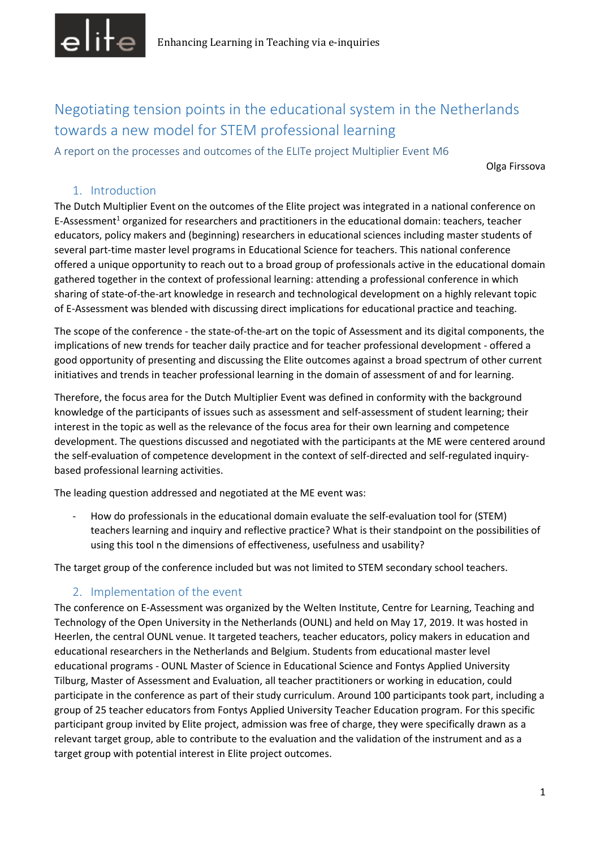

Negotiating tension points in the educational system in the Netherlands towards a new model for STEM professional learning

A report on the processes and outcomes of the ELITe project Multiplier Event M6

Olga Firssova

### 1. Introduction

The Dutch Multiplier Event on the outcomes of the Elite project was integrated in a national conference on E-Assessment<sup>1</sup> organized for researchers and practitioners in the educational domain: teachers, teacher educators, policy makers and (beginning) researchers in educational sciences including master students of several part-time master level programs in Educational Science for teachers. This national conference offered a unique opportunity to reach out to a broad group of professionals active in the educational domain gathered together in the context of professional learning: attending a professional conference in which sharing of state-of-the-art knowledge in research and technological development on a highly relevant topic of E-Assessment was blended with discussing direct implications for educational practice and teaching.

The scope of the conference - the state-of-the-art on the topic of Assessment and its digital components, the implications of new trends for teacher daily practice and for teacher professional development - offered a good opportunity of presenting and discussing the Elite outcomes against a broad spectrum of other current initiatives and trends in teacher professional learning in the domain of assessment of and for learning.

Therefore, the focus area for the Dutch Multiplier Event was defined in conformity with the background knowledge of the participants of issues such as assessment and self-assessment of student learning; their interest in the topic as well as the relevance of the focus area for their own learning and competence development. The questions discussed and negotiated with the participants at the ME were centered around the self-evaluation of competence development in the context of self-directed and self-regulated inquirybased professional learning activities.

The leading question addressed and negotiated at the ME event was:

- How do professionals in the educational domain evaluate the self-evaluation tool for (STEM) teachers learning and inquiry and reflective practice? What is their standpoint on the possibilities of using this tool n the dimensions of effectiveness, usefulness and usability?

The target group of the conference included but was not limited to STEM secondary school teachers.

# 2. Implementation of the event

The conference on E-Assessment was organized by the Welten Institute, Centre for Learning, Teaching and Technology of the Open University in the Netherlands (OUNL) and held on May 17, 2019. It was hosted in Heerlen, the central OUNL venue. It targeted teachers, teacher educators, policy makers in education and educational researchers in the Netherlands and Belgium. Students from educational master level educational programs - OUNL Master of Science in Educational Science and Fontys Applied University Tilburg, Master of Assessment and Evaluation, all teacher practitioners or working in education, could participate in the conference as part of their study curriculum. Around 100 participants took part, including a group of 25 teacher educators from Fontys Applied University Teacher Education program. For this specific participant group invited by Elite project, admission was free of charge, they were specifically drawn as a relevant target group, able to contribute to the evaluation and the validation of the instrument and as a target group with potential interest in Elite project outcomes.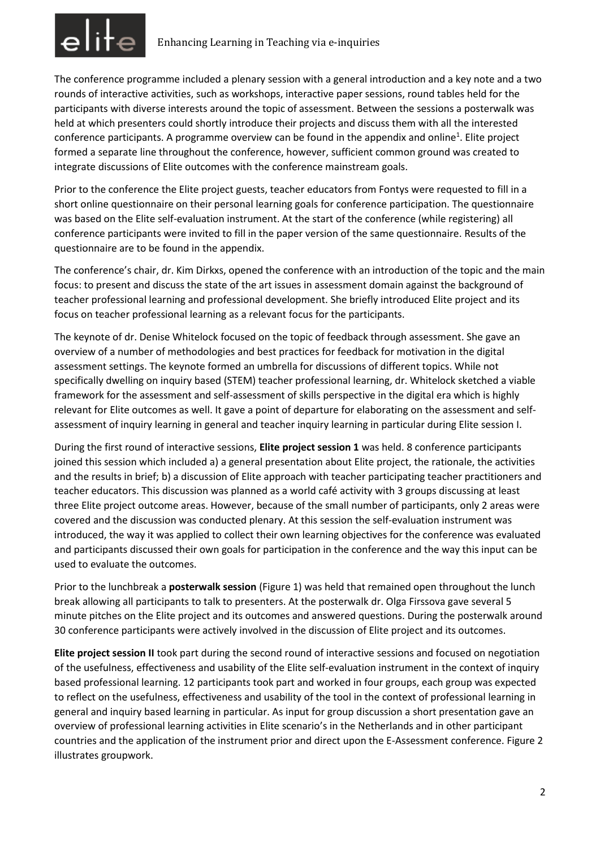

The conference programme included a plenary session with a general introduction and a key note and a two rounds of interactive activities, such as workshops, interactive paper sessions, round tables held for the participants with diverse interests around the topic of assessment. Between the sessions a posterwalk was held at which presenters could shortly introduce their projects and discuss them with all the interested conference participants. A programme overview can be found in the appendix and online<sup>1</sup>. Elite project formed a separate line throughout the conference, however, sufficient common ground was created to integrate discussions of Elite outcomes with the conference mainstream goals.

Prior to the conference the Elite project guests, teacher educators from Fontys were requested to fill in a short online questionnaire on their personal learning goals for conference participation. The questionnaire was based on the Elite self-evaluation instrument. At the start of the conference (while registering) all conference participants were invited to fill in the paper version of the same questionnaire. Results of the questionnaire are to be found in the appendix.

The conference's chair, dr. Kim Dirkxs, opened the conference with an introduction of the topic and the main focus: to present and discuss the state of the art issues in assessment domain against the background of teacher professional learning and professional development. She briefly introduced Elite project and its focus on teacher professional learning as a relevant focus for the participants.

The keynote of dr. Denise Whitelock focused on the topic of feedback through assessment. She gave an overview of a number of methodologies and best practices for feedback for motivation in the digital assessment settings. The keynote formed an umbrella for discussions of different topics. While not specifically dwelling on inquiry based (STEM) teacher professional learning, dr. Whitelock sketched a viable framework for the assessment and self-assessment of skills perspective in the digital era which is highly relevant for Elite outcomes as well. It gave a point of departure for elaborating on the assessment and selfassessment of inquiry learning in general and teacher inquiry learning in particular during Elite session I.

During the first round of interactive sessions, **Elite project session 1** was held. 8 conference participants joined this session which included a) a general presentation about Elite project, the rationale, the activities and the results in brief; b) a discussion of Elite approach with teacher participating teacher practitioners and teacher educators. This discussion was planned as a world café activity with 3 groups discussing at least three Elite project outcome areas. However, because of the small number of participants, only 2 areas were covered and the discussion was conducted plenary. At this session the self-evaluation instrument was introduced, the way it was applied to collect their own learning objectives for the conference was evaluated and participants discussed their own goals for participation in the conference and the way this input can be used to evaluate the outcomes.

Prior to the lunchbreak a **posterwalk session** (Figure 1) was held that remained open throughout the lunch break allowing all participants to talk to presenters. At the posterwalk dr. Olga Firssova gave several 5 minute pitches on the Elite project and its outcomes and answered questions. During the posterwalk around 30 conference participants were actively involved in the discussion of Elite project and its outcomes.

**Elite project session II** took part during the second round of interactive sessions and focused on negotiation of the usefulness, effectiveness and usability of the Elite self-evaluation instrument in the context of inquiry based professional learning. 12 participants took part and worked in four groups, each group was expected to reflect on the usefulness, effectiveness and usability of the tool in the context of professional learning in general and inquiry based learning in particular. As input for group discussion a short presentation gave an overview of professional learning activities in Elite scenario's in the Netherlands and in other participant countries and the application of the instrument prior and direct upon the E-Assessment conference. Figure 2 illustrates groupwork.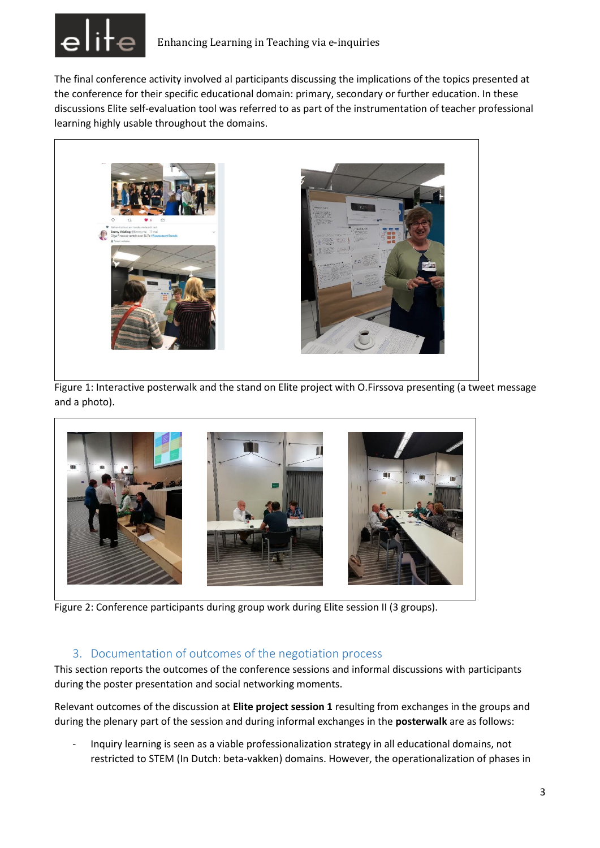

The final conference activity involved al participants discussing the implications of the topics presented at the conference for their specific educational domain: primary, secondary or further education. In these discussions Elite self-evaluation tool was referred to as part of the instrumentation of teacher professional learning highly usable throughout the domains.



Figure 1: Interactive posterwalk and the stand on Elite project with O.Firssova presenting (a tweet message and a photo).



Figure 2: Conference participants during group work during Elite session II (3 groups).

# 3. Documentation of outcomes of the negotiation process

This section reports the outcomes of the conference sessions and informal discussions with participants during the poster presentation and social networking moments.

Relevant outcomes of the discussion at **Elite project session 1** resulting from exchanges in the groups and during the plenary part of the session and during informal exchanges in the **posterwalk** are as follows:

- Inquiry learning is seen as a viable professionalization strategy in all educational domains, not restricted to STEM (In Dutch: beta-vakken) domains. However, the operationalization of phases in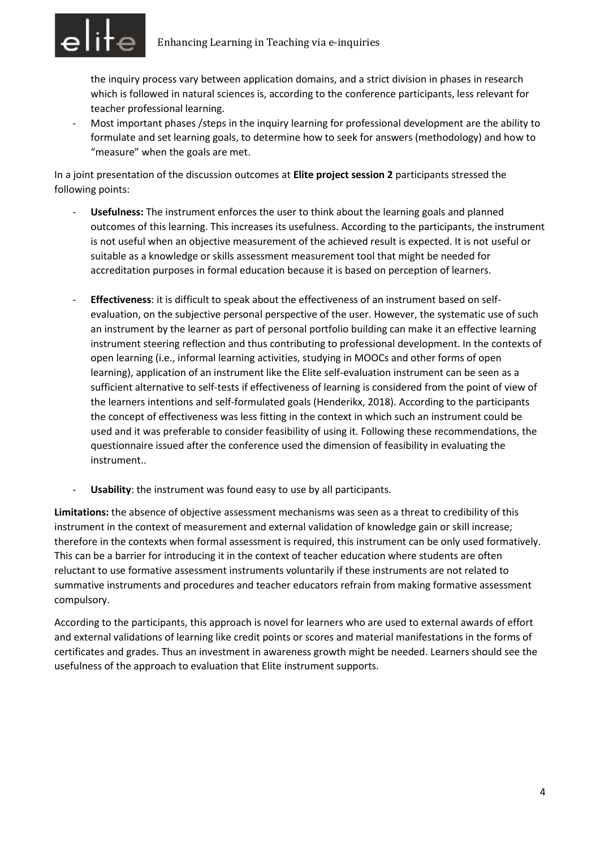

the inquiry process vary between application domains, and a strict division in phases in research which is followed in natural sciences is, according to the conference participants, less relevant for teacher professional learning.

- Most important phases /steps in the inquiry learning for professional development are the ability to formulate and set learning goals, to determine how to seek for answers (methodology) and how to "measure" when the goals are met.

In a joint presentation of the discussion outcomes at **Elite project session 2** participants stressed the following points:

- Usefulness: The instrument enforces the user to think about the learning goals and planned outcomes of this learning. This increases its usefulness. According to the participants, the instrument is not useful when an objective measurement of the achieved result is expected. It is not useful or suitable as a knowledge or skills assessment measurement tool that might be needed for accreditation purposes in formal education because it is based on perception of learners.
- **Effectiveness**: it is difficult to speak about the effectiveness of an instrument based on selfevaluation, on the subjective personal perspective of the user. However, the systematic use of such an instrument by the learner as part of personal portfolio building can make it an effective learning instrument steering reflection and thus contributing to professional development. In the contexts of open learning (i.e., informal learning activities, studying in MOOCs and other forms of open learning), application of an instrument like the Elite self-evaluation instrument can be seen as a sufficient alternative to self-tests if effectiveness of learning is considered from the point of view of the learners intentions and self-formulated goals (Henderikx, 2018). According to the participants the concept of effectiveness was less fitting in the context in which such an instrument could be used and it was preferable to consider feasibility of using it. Following these recommendations, the questionnaire issued after the conference used the dimension of feasibility in evaluating the instrument..
- Usability: the instrument was found easy to use by all participants.

**Limitations:** the absence of objective assessment mechanisms was seen as a threat to credibility of this instrument in the context of measurement and external validation of knowledge gain or skill increase; therefore in the contexts when formal assessment is required, this instrument can be only used formatively. This can be a barrier for introducing it in the context of teacher education where students are often reluctant to use formative assessment instruments voluntarily if these instruments are not related to summative instruments and procedures and teacher educators refrain from making formative assessment compulsory.

According to the participants, this approach is novel for learners who are used to external awards of effort and external validations of learning like credit points or scores and material manifestations in the forms of certificates and grades. Thus an investment in awareness growth might be needed. Learners should see the usefulness of the approach to evaluation that Elite instrument supports.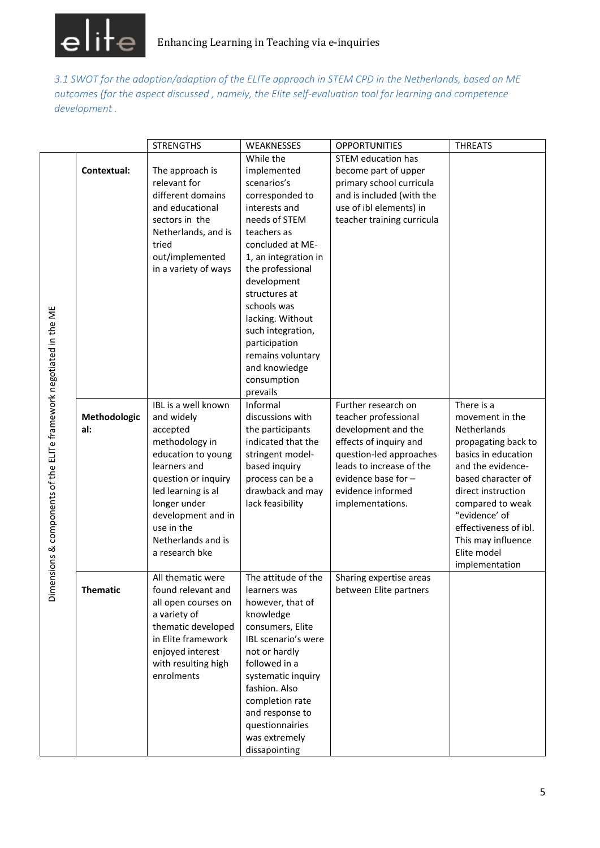

*3.1 SWOT for the adoption/adaption of the ELITe approach in STEM CPD in the Netherlands, based on ME outcomes (for the aspect discussed , namely, the Elite self-evaluation tool for learning and competence development .* 

|                                                                     |                 | <b>STRENGTHS</b>                   | WEAKNESSES                           | <b>OPPORTUNITIES</b>                     | <b>THREATS</b>                           |
|---------------------------------------------------------------------|-----------------|------------------------------------|--------------------------------------|------------------------------------------|------------------------------------------|
|                                                                     |                 |                                    | While the                            | <b>STEM education has</b>                |                                          |
|                                                                     | Contextual:     | The approach is                    | implemented                          | become part of upper                     |                                          |
|                                                                     |                 | relevant for                       | scenarios's                          | primary school curricula                 |                                          |
|                                                                     |                 | different domains                  | corresponded to                      | and is included (with the                |                                          |
|                                                                     |                 | and educational                    | interests and                        | use of ibl elements) in                  |                                          |
|                                                                     |                 | sectors in the                     | needs of STEM                        | teacher training curricula               |                                          |
|                                                                     |                 | Netherlands, and is                | teachers as                          |                                          |                                          |
|                                                                     |                 | tried                              | concluded at ME-                     |                                          |                                          |
|                                                                     |                 | out/implemented                    | 1, an integration in                 |                                          |                                          |
|                                                                     |                 | in a variety of ways               | the professional                     |                                          |                                          |
|                                                                     |                 |                                    | development                          |                                          |                                          |
|                                                                     |                 |                                    | structures at                        |                                          |                                          |
|                                                                     |                 |                                    | schools was                          |                                          |                                          |
|                                                                     |                 |                                    | lacking. Without                     |                                          |                                          |
|                                                                     |                 |                                    | such integration,                    |                                          |                                          |
|                                                                     |                 |                                    | participation                        |                                          |                                          |
|                                                                     |                 |                                    | remains voluntary                    |                                          |                                          |
|                                                                     |                 |                                    | and knowledge                        |                                          |                                          |
|                                                                     |                 |                                    | consumption                          |                                          |                                          |
|                                                                     |                 |                                    | prevails                             |                                          |                                          |
|                                                                     |                 | IBL is a well known                | Informal                             | Further research on                      | There is a                               |
|                                                                     | Methodologic    | and widely                         | discussions with                     | teacher professional                     | movement in the                          |
|                                                                     | al:             | accepted                           | the participants                     | development and the                      | Netherlands                              |
|                                                                     |                 | methodology in                     | indicated that the                   | effects of inquiry and                   | propagating back to                      |
|                                                                     |                 | education to young                 | stringent model-                     | question-led approaches                  | basics in education                      |
|                                                                     |                 | learners and                       | based inquiry                        | leads to increase of the                 | and the evidence-                        |
|                                                                     |                 | question or inquiry                | process can be a<br>drawback and may | evidence base for -<br>evidence informed | based character of<br>direct instruction |
|                                                                     |                 | led learning is al<br>longer under | lack feasibility                     | implementations.                         | compared to weak                         |
|                                                                     |                 | development and in                 |                                      |                                          | "evidence' of                            |
|                                                                     |                 | use in the                         |                                      |                                          | effectiveness of ibl.                    |
|                                                                     |                 | Netherlands and is                 |                                      |                                          | This may influence                       |
| Dimensions & components of the ELITe framework negotiated in the ME |                 | a research bke                     |                                      |                                          | Elite model                              |
|                                                                     |                 |                                    |                                      |                                          | implementation                           |
|                                                                     |                 | All thematic were                  | The attitude of the                  | Sharing expertise areas                  |                                          |
|                                                                     | <b>Inematic</b> | found relevant and                 | learners was                         | between Elite partners                   |                                          |
|                                                                     |                 | all open courses on                | however, that of                     |                                          |                                          |
|                                                                     |                 | a variety of                       | knowledge                            |                                          |                                          |
|                                                                     |                 | thematic developed                 | consumers, Elite                     |                                          |                                          |
|                                                                     |                 | in Elite framework                 | IBL scenario's were                  |                                          |                                          |
|                                                                     |                 | enjoyed interest                   | not or hardly                        |                                          |                                          |
|                                                                     |                 | with resulting high                | followed in a                        |                                          |                                          |
|                                                                     |                 | enrolments                         | systematic inquiry                   |                                          |                                          |
|                                                                     |                 |                                    | fashion. Also                        |                                          |                                          |
|                                                                     |                 |                                    | completion rate                      |                                          |                                          |
|                                                                     |                 |                                    | and response to                      |                                          |                                          |
|                                                                     |                 |                                    | questionnairies                      |                                          |                                          |
|                                                                     |                 |                                    | was extremely                        |                                          |                                          |
|                                                                     |                 |                                    | dissapointing                        |                                          |                                          |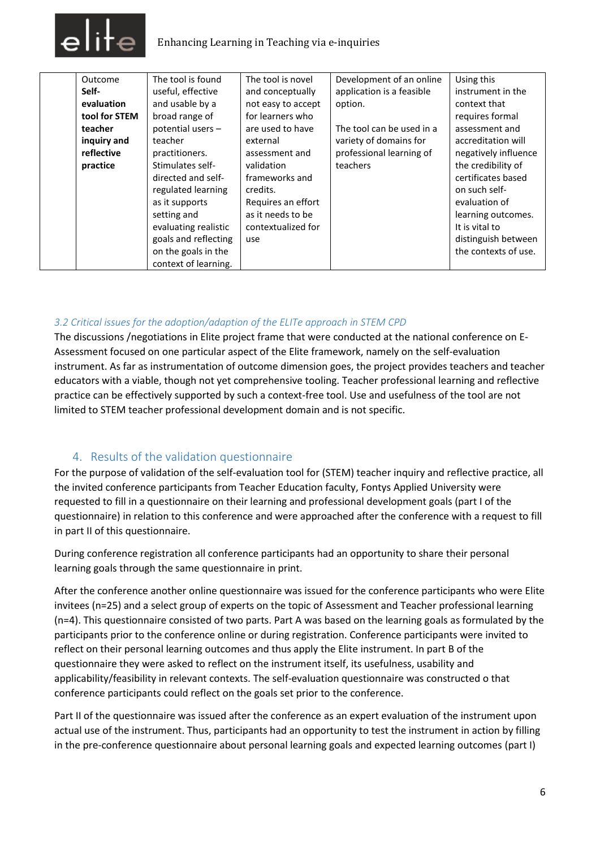

| Outcome       | The tool is found    | The tool is novel  | Development of an online  | Using this           |
|---------------|----------------------|--------------------|---------------------------|----------------------|
| Self-         | useful, effective    | and conceptually   | application is a feasible | instrument in the    |
| evaluation    | and usable by a      | not easy to accept | option.                   | context that         |
| tool for STEM | broad range of       | for learners who   |                           | requires formal      |
| teacher       | potential users -    | are used to have   | The tool can be used in a | assessment and       |
| inquiry and   | teacher              | external           | variety of domains for    | accreditation will   |
| reflective    | practitioners.       | assessment and     | professional learning of  | negatively influence |
| practice      | Stimulates self-     | validation         | teachers                  | the credibility of   |
|               | directed and self-   | frameworks and     |                           | certificates based   |
|               | regulated learning   | credits.           |                           | on such self-        |
|               | as it supports       | Requires an effort |                           | evaluation of        |
|               | setting and          | as it needs to be  |                           | learning outcomes.   |
|               | evaluating realistic | contextualized for |                           | It is vital to       |
|               | goals and reflecting | use                |                           | distinguish between  |
|               | on the goals in the  |                    |                           | the contexts of use. |
|               | context of learning. |                    |                           |                      |

### *3.2 Critical issues for the adoption/adaption of the ELITe approach in STEM CPD*

The discussions /negotiations in Elite project frame that were conducted at the national conference on E-Assessment focused on one particular aspect of the Elite framework, namely on the self-evaluation instrument. As far as instrumentation of outcome dimension goes, the project provides teachers and teacher educators with a viable, though not yet comprehensive tooling. Teacher professional learning and reflective practice can be effectively supported by such a context-free tool. Use and usefulness of the tool are not limited to STEM teacher professional development domain and is not specific.

### 4. Results of the validation questionnaire

For the purpose of validation of the self-evaluation tool for (STEM) teacher inquiry and reflective practice, all the invited conference participants from Teacher Education faculty, Fontys Applied University were requested to fill in a questionnaire on their learning and professional development goals (part I of the questionnaire) in relation to this conference and were approached after the conference with a request to fill in part II of this questionnaire.

During conference registration all conference participants had an opportunity to share their personal learning goals through the same questionnaire in print.

After the conference another online questionnaire was issued for the conference participants who were Elite invitees (n=25) and a select group of experts on the topic of Assessment and Teacher professional learning (n=4). This questionnaire consisted of two parts. Part A was based on the learning goals as formulated by the participants prior to the conference online or during registration. Conference participants were invited to reflect on their personal learning outcomes and thus apply the Elite instrument. In part B of the questionnaire they were asked to reflect on the instrument itself, its usefulness, usability and applicability/feasibility in relevant contexts. The self-evaluation questionnaire was constructed o that conference participants could reflect on the goals set prior to the conference.

Part II of the questionnaire was issued after the conference as an expert evaluation of the instrument upon actual use of the instrument. Thus, participants had an opportunity to test the instrument in action by filling in the pre-conference questionnaire about personal learning goals and expected learning outcomes (part I)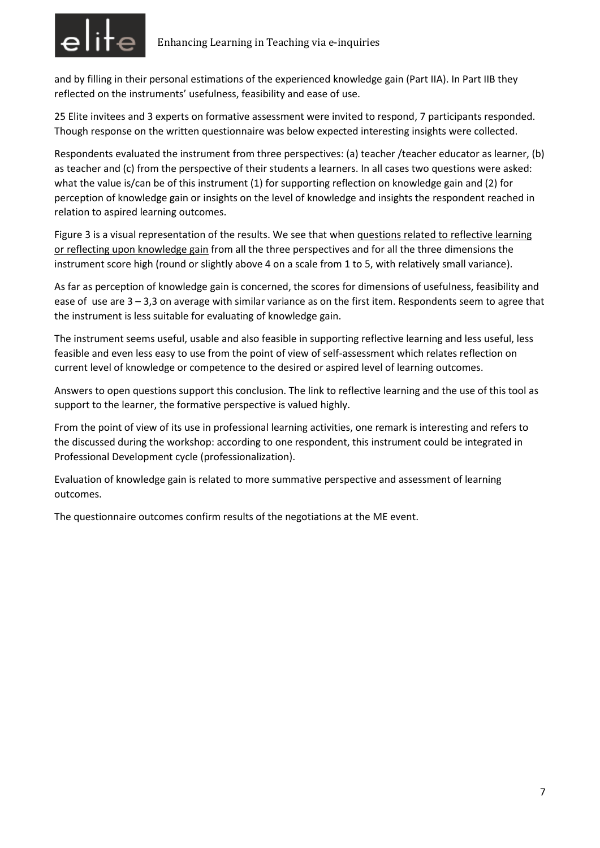

and by filling in their personal estimations of the experienced knowledge gain (Part IIA). In Part IIB they reflected on the instruments' usefulness, feasibility and ease of use.

25 Elite invitees and 3 experts on formative assessment were invited to respond, 7 participants responded. Though response on the written questionnaire was below expected interesting insights were collected.

Respondents evaluated the instrument from three perspectives: (a) teacher /teacher educator as learner, (b) as teacher and (c) from the perspective of their students a learners. In all cases two questions were asked: what the value is/can be of this instrument (1) for supporting reflection on knowledge gain and (2) for perception of knowledge gain or insights on the level of knowledge and insights the respondent reached in relation to aspired learning outcomes.

Figure 3 is a visual representation of the results. We see that when questions related to reflective learning or reflecting upon knowledge gain from all the three perspectives and for all the three dimensions the instrument score high (round or slightly above 4 on a scale from 1 to 5, with relatively small variance).

As far as perception of knowledge gain is concerned, the scores for dimensions of usefulness, feasibility and ease of use are 3 – 3,3 on average with similar variance as on the first item. Respondents seem to agree that the instrument is less suitable for evaluating of knowledge gain.

The instrument seems useful, usable and also feasible in supporting reflective learning and less useful, less feasible and even less easy to use from the point of view of self-assessment which relates reflection on current level of knowledge or competence to the desired or aspired level of learning outcomes.

Answers to open questions support this conclusion. The link to reflective learning and the use of this tool as support to the learner, the formative perspective is valued highly.

From the point of view of its use in professional learning activities, one remark is interesting and refers to the discussed during the workshop: according to one respondent, this instrument could be integrated in Professional Development cycle (professionalization).

Evaluation of knowledge gain is related to more summative perspective and assessment of learning outcomes.

The questionnaire outcomes confirm results of the negotiations at the ME event.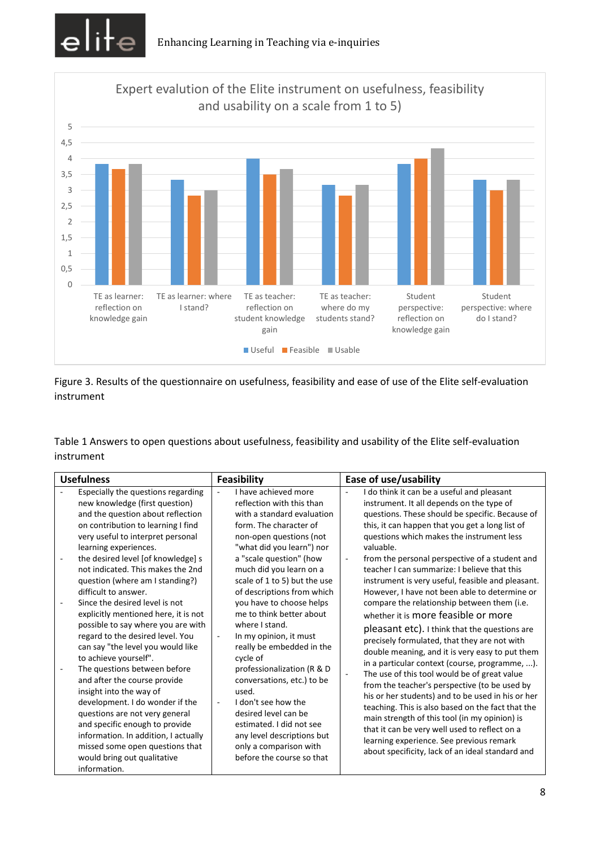



Figure 3. Results of the questionnaire on usefulness, feasibility and ease of use of the Elite self-evaluation instrument

Table 1 Answers to open questions about usefulness, feasibility and usability of the Elite self-evaluation instrument

| I have achieved more<br>Especially the questions regarding<br>$\overline{\phantom{a}}$<br>new knowledge (first question)<br>reflection with this than<br>and the question about reflection<br>with a standard evaluation                                                                                                                                                                                                                                                                                                                                                                                                                                                                                                                                                                                                                                                                                                                                                                                                                                                                                                                                                                                                                                                                                                                                                                                       | I do think it can be a useful and pleasant<br>instrument. It all depends on the type of<br>questions. These should be specific. Because of<br>this, it can happen that you get a long list of                                                                                                                                                                                                                                                                                                                                                                                                                                                                                                                                                                                                                                                                                                                                                                           |
|----------------------------------------------------------------------------------------------------------------------------------------------------------------------------------------------------------------------------------------------------------------------------------------------------------------------------------------------------------------------------------------------------------------------------------------------------------------------------------------------------------------------------------------------------------------------------------------------------------------------------------------------------------------------------------------------------------------------------------------------------------------------------------------------------------------------------------------------------------------------------------------------------------------------------------------------------------------------------------------------------------------------------------------------------------------------------------------------------------------------------------------------------------------------------------------------------------------------------------------------------------------------------------------------------------------------------------------------------------------------------------------------------------------|-------------------------------------------------------------------------------------------------------------------------------------------------------------------------------------------------------------------------------------------------------------------------------------------------------------------------------------------------------------------------------------------------------------------------------------------------------------------------------------------------------------------------------------------------------------------------------------------------------------------------------------------------------------------------------------------------------------------------------------------------------------------------------------------------------------------------------------------------------------------------------------------------------------------------------------------------------------------------|
| on contribution to learning I find<br>form. The character of<br>very useful to interpret personal<br>non-open questions (not<br>"what did you learn") nor<br>learning experiences.<br>the desired level [of knowledge] s<br>a "scale question" (how<br>$\overline{\phantom{a}}$<br>not indicated. This makes the 2nd<br>much did you learn on a<br>scale of 1 to 5) but the use<br>question (where am I standing?)<br>of descriptions from which<br>difficult to answer.<br>Since the desired level is not<br>you have to choose helps<br>me to think better about<br>explicitly mentioned here, it is not<br>possible to say where you are with<br>where I stand.<br>regard to the desired level. You<br>In my opinion, it must<br>can say "the level you would like<br>really be embedded in the<br>to achieve yourself".<br>cycle of<br>The questions between before<br>professionalization (R & D<br>÷,<br>and after the course provide<br>conversations, etc.) to be<br>insight into the way of<br>used.<br>development. I do wonder if the<br>I don't see how the<br>desired level can be<br>questions are not very general<br>and specific enough to provide<br>estimated. I did not see<br>information. In addition, I actually<br>any level descriptions but<br>missed some open questions that<br>only a comparison with<br>before the course so that<br>would bring out qualitative<br>information. | questions which makes the instrument less<br>valuable.<br>from the personal perspective of a student and<br>teacher I can summarize: I believe that this<br>instrument is very useful, feasible and pleasant.<br>However, I have not been able to determine or<br>compare the relationship between them (i.e.<br>whether it is more feasible or more<br>pleasant etc). I think that the questions are<br>precisely formulated, that they are not with<br>double meaning, and it is very easy to put them<br>in a particular context (course, programme, ).<br>The use of this tool would be of great value<br>from the teacher's perspective (to be used by<br>his or her students) and to be used in his or her<br>teaching. This is also based on the fact that the<br>main strength of this tool (in my opinion) is<br>that it can be very well used to reflect on a<br>learning experience. See previous remark<br>about specificity, lack of an ideal standard and |